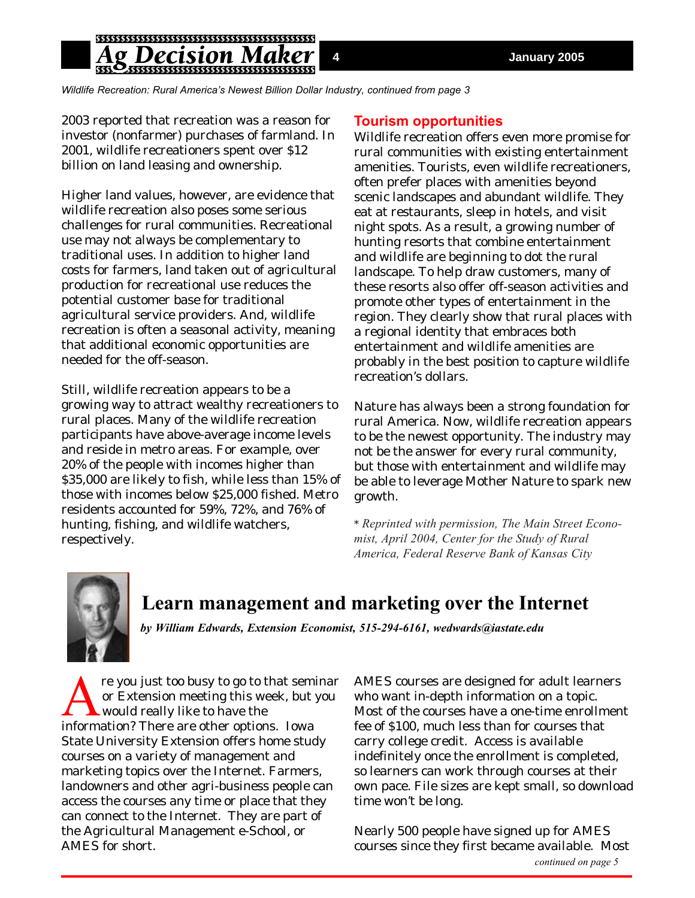*Wildlife Recreation: Rural America's Newest Billion Dollar Industry, continued from page 3*

2003 reported that recreation was a reason for investor (nonfarmer) purchases of farmland. In 2001, wildlife recreationers spent over \$12 billion on land leasing and ownership.

Higher land values, however, are evidence that wildlife recreation also poses some serious challenges for rural communities. Recreational use may not always be complementary to traditional uses. In addition to higher land costs for farmers, land taken out of agricultural production for recreational use reduces the potential customer base for traditional agricultural service providers. And, wildlife recreation is often a seasonal activity, meaning that additional economic opportunities are needed for the off-season.

Still, wildlife recreation appears to be a growing way to attract wealthy recreationers to rural places. Many of the wildlife recreation participants have above-average income levels and reside in metro areas. For example, over 20% of the people with incomes higher than \$35,000 are likely to fish, while less than 15% of those with incomes below \$25,000 fished. Metro residents accounted for 59%, 72%, and 76% of hunting, fishing, and wildlife watchers, respectively.

### **Tourism opportunities**

Wildlife recreation offers even more promise for rural communities with existing entertainment amenities. Tourists, even wildlife recreationers, often prefer places with amenities beyond scenic landscapes and abundant wildlife. They eat at restaurants, sleep in hotels, and visit night spots. As a result, a growing number of hunting resorts that combine entertainment and wildlife are beginning to dot the rural landscape. To help draw customers, many of these resorts also offer off-season activities and promote other types of entertainment in the region. They clearly show that rural places with a regional identity that embraces both entertainment and wildlife amenities are probably in the best position to capture wildlife recreation's dollars.

Nature has always been a strong foundation for rural America. Now, wildlife recreation appears to be the newest opportunity. The industry may not be the answer for every rural community, but those with entertainment and wildlife may be able to leverage Mother Nature to spark new growth.

*\* Reprinted with permission, The Main Street Economist, April 2004, Center for the Study of Rural America, Federal Reserve Bank of Kansas City*



## **Learn management and marketing over the Internet**

*by William Edwards, Extension Economist, 515-294-6161, wedwards@iastate.edu*

re you just too busy to go to that seminar<br>or Extension meeting this week, but you<br>would really like to have the<br>information? There are other ontions Iowa or Extension meeting this week, but you would really like to have the information? There are other options. Iowa State University Extension offers home study courses on a variety of management and marketing topics over the Internet. Farmers, landowners and other agri-business people can access the courses any time or place that they can connect to the Internet. They are part of the Agricultural Management e-School, or AMES for short.

AMES courses are designed for adult learners who want in-depth information on a topic. Most of the courses have a one-time enrollment fee of \$100, much less than for courses that carry college credit. Access is available indefinitely once the enrollment is completed, so learners can work through courses at their own pace. File sizes are kept small, so download time won't be long.

Nearly 500 people have signed up for AMES courses since they first became available. Most